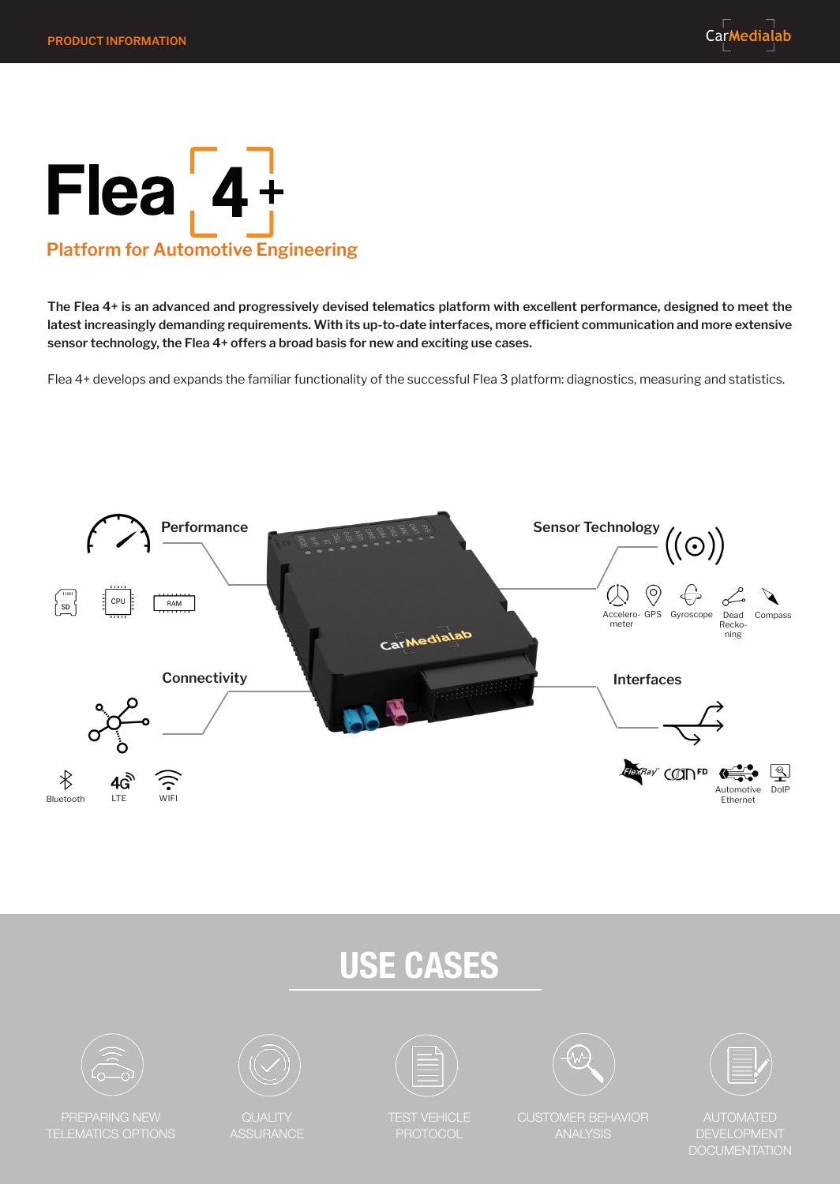## $Flea$ <sub>,</sub> $4+$ **Platform for Automotive Engineering**

**The Flea 4+ is an advanced and progressively devised telematics platform with excellent performance, designed to meet the latest increasingly demanding requirements. With its up-to-date interfaces, more efficient communication and more extensive sensor technology, the Flea 4+ offers a broad basis for new and exciting use cases.** 

Flea 4+ develops and expands the familiar functionality of the successful Flea 3 platform: diagnostics, measuring and statistics.